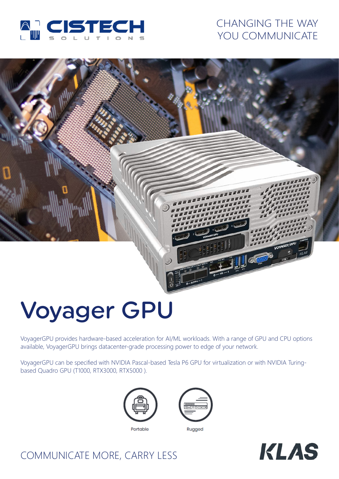

## CHANGING THE WAY YOU COMMUNICATE

# Voyager GPU

VoyagerGPU provides hardware-based acceleration for AI/ML workloads. With a range of GPU and CPU options available, VoyagerGPU brings datacenter-grade processing power to edge of your network.

VoyagerGPU can be specified with NVIDIA Pascal-based Tesla P6 GPU for virtualization or with NVIDIA Turingbased Quadro GPU (T1000, RTX3000, RTX5000 ).



Portable



Rugged



# COMMUNICATE MORE, CARRY LESS